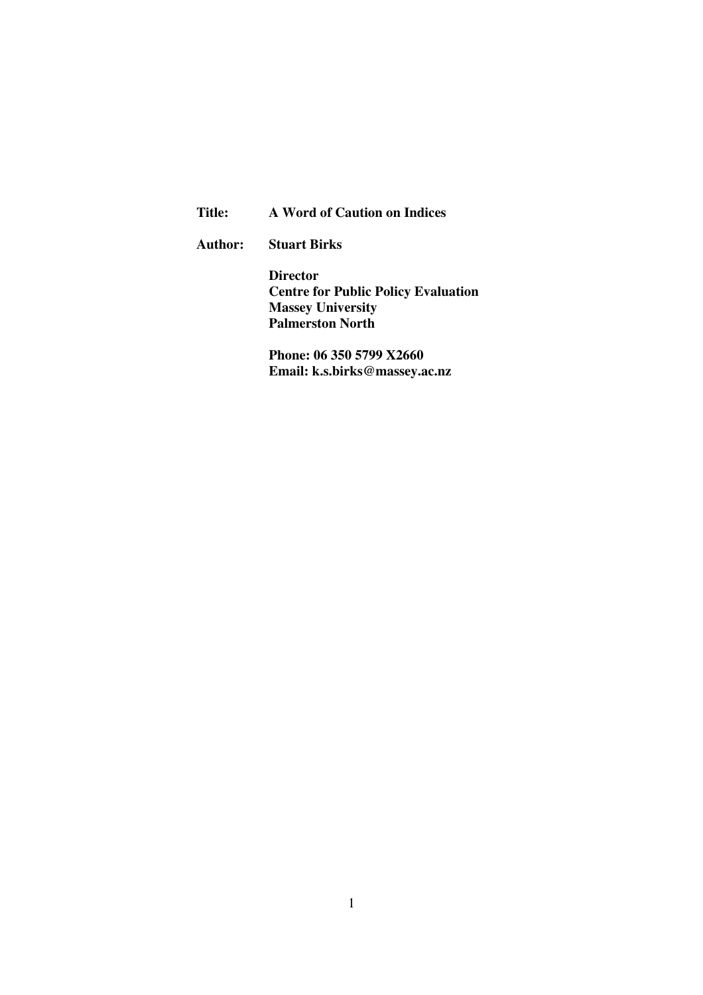| Title: |  | A Word of Caution on Indices |  |  |  |
|--------|--|------------------------------|--|--|--|
|--------|--|------------------------------|--|--|--|

**Author: Stuart Birks** 

**Director Centre for Public Policy Evaluation Massey University Palmerston North** 

**Phone: 06 350 5799 X2660 Email: k.s.birks@massey.ac.nz**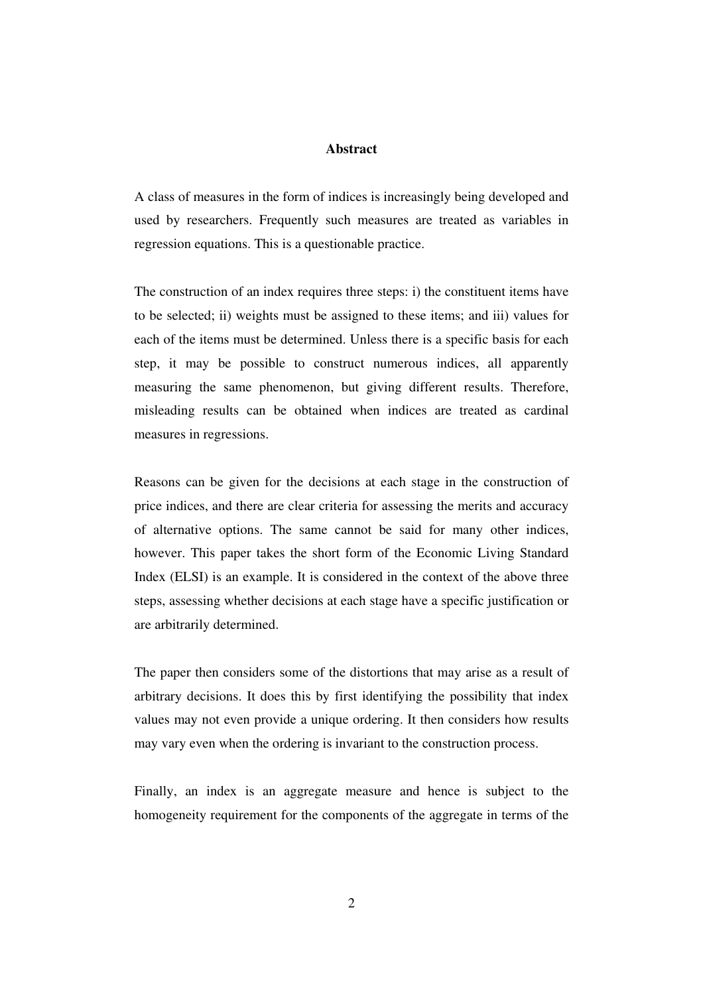### **Abstract**

A class of measures in the form of indices is increasingly being developed and used by researchers. Frequently such measures are treated as variables in regression equations. This is a questionable practice.

The construction of an index requires three steps: i) the constituent items have to be selected; ii) weights must be assigned to these items; and iii) values for each of the items must be determined. Unless there is a specific basis for each step, it may be possible to construct numerous indices, all apparently measuring the same phenomenon, but giving different results. Therefore, misleading results can be obtained when indices are treated as cardinal measures in regressions.

Reasons can be given for the decisions at each stage in the construction of price indices, and there are clear criteria for assessing the merits and accuracy of alternative options. The same cannot be said for many other indices, however. This paper takes the short form of the Economic Living Standard Index (ELSI) is an example. It is considered in the context of the above three steps, assessing whether decisions at each stage have a specific justification or are arbitrarily determined.

The paper then considers some of the distortions that may arise as a result of arbitrary decisions. It does this by first identifying the possibility that index values may not even provide a unique ordering. It then considers how results may vary even when the ordering is invariant to the construction process.

Finally, an index is an aggregate measure and hence is subject to the homogeneity requirement for the components of the aggregate in terms of the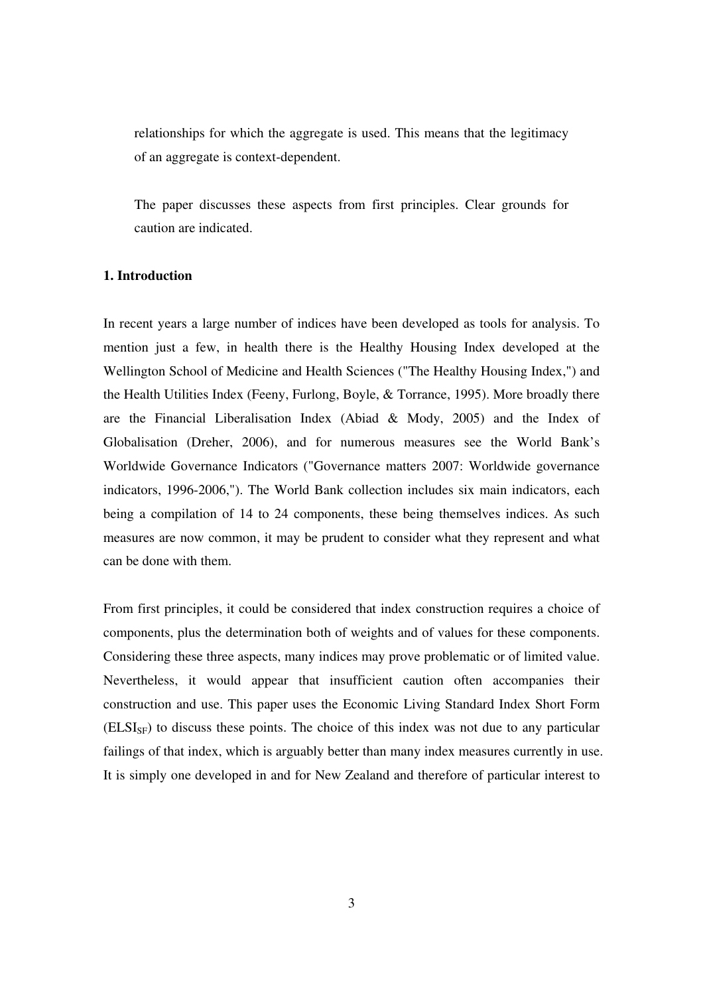relationships for which the aggregate is used. This means that the legitimacy of an aggregate is context-dependent.

The paper discusses these aspects from first principles. Clear grounds for caution are indicated.

## **1. Introduction**

In recent years a large number of indices have been developed as tools for analysis. To mention just a few, in health there is the Healthy Housing Index developed at the Wellington School of Medicine and Health Sciences ("The Healthy Housing Index,") and the Health Utilities Index (Feeny, Furlong, Boyle, & Torrance, 1995). More broadly there are the Financial Liberalisation Index (Abiad & Mody, 2005) and the Index of Globalisation (Dreher, 2006), and for numerous measures see the World Bank's Worldwide Governance Indicators ("Governance matters 2007: Worldwide governance indicators, 1996-2006,"). The World Bank collection includes six main indicators, each being a compilation of 14 to 24 components, these being themselves indices. As such measures are now common, it may be prudent to consider what they represent and what can be done with them.

From first principles, it could be considered that index construction requires a choice of components, plus the determination both of weights and of values for these components. Considering these three aspects, many indices may prove problematic or of limited value. Nevertheless, it would appear that insufficient caution often accompanies their construction and use. This paper uses the Economic Living Standard Index Short Form  $(ELSI<sub>SF</sub>)$  to discuss these points. The choice of this index was not due to any particular failings of that index, which is arguably better than many index measures currently in use. It is simply one developed in and for New Zealand and therefore of particular interest to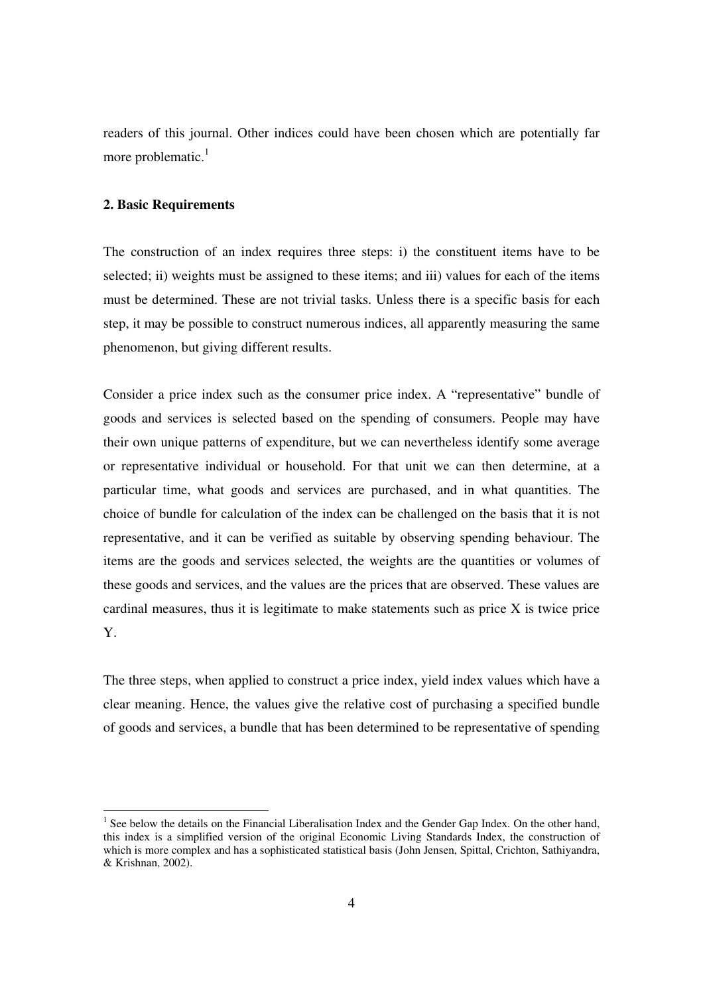readers of this journal. Other indices could have been chosen which are potentially far more problematic. $<sup>1</sup>$ </sup>

## **2. Basic Requirements**

 $\overline{a}$ 

The construction of an index requires three steps: i) the constituent items have to be selected; ii) weights must be assigned to these items; and iii) values for each of the items must be determined. These are not trivial tasks. Unless there is a specific basis for each step, it may be possible to construct numerous indices, all apparently measuring the same phenomenon, but giving different results.

Consider a price index such as the consumer price index. A "representative" bundle of goods and services is selected based on the spending of consumers. People may have their own unique patterns of expenditure, but we can nevertheless identify some average or representative individual or household. For that unit we can then determine, at a particular time, what goods and services are purchased, and in what quantities. The choice of bundle for calculation of the index can be challenged on the basis that it is not representative, and it can be verified as suitable by observing spending behaviour. The items are the goods and services selected, the weights are the quantities or volumes of these goods and services, and the values are the prices that are observed. These values are cardinal measures, thus it is legitimate to make statements such as price X is twice price Y.

The three steps, when applied to construct a price index, yield index values which have a clear meaning. Hence, the values give the relative cost of purchasing a specified bundle of goods and services, a bundle that has been determined to be representative of spending

<sup>&</sup>lt;sup>1</sup> See below the details on the Financial Liberalisation Index and the Gender Gap Index. On the other hand, this index is a simplified version of the original Economic Living Standards Index, the construction of which is more complex and has a sophisticated statistical basis (John Jensen, Spittal, Crichton, Sathiyandra, & Krishnan, 2002).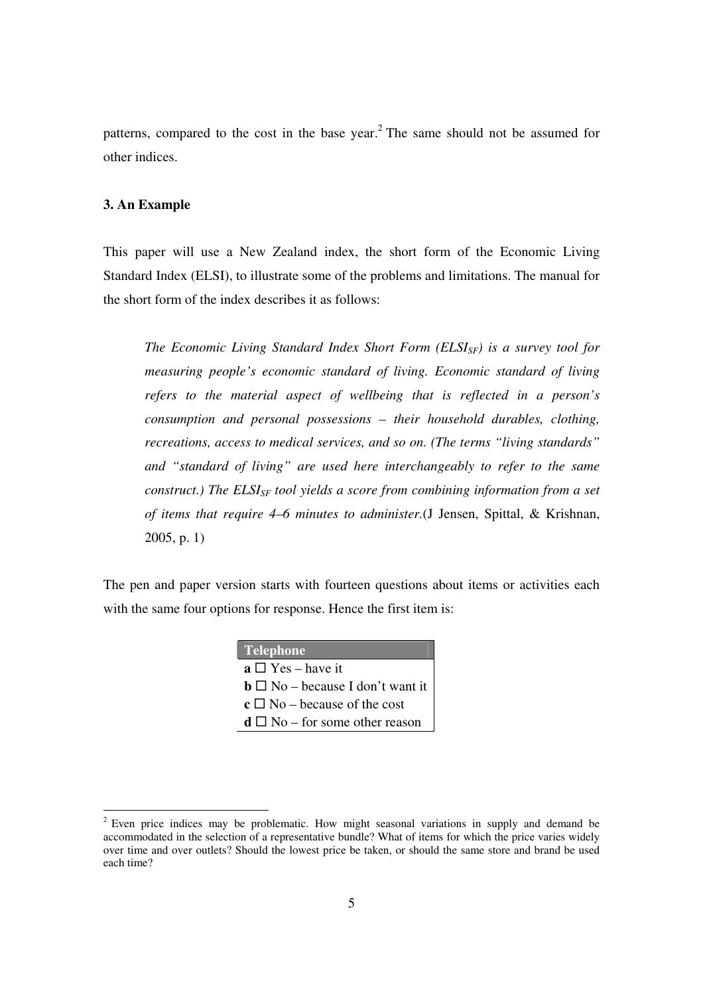patterns, compared to the cost in the base year.<sup>2</sup> The same should not be assumed for other indices.

## **3. An Example**

This paper will use a New Zealand index, the short form of the Economic Living Standard Index (ELSI), to illustrate some of the problems and limitations. The manual for the short form of the index describes it as follows:

*The Economic Living Standard Index Short Form (ELSISF) is a survey tool for measuring people's economic standard of living. Economic standard of living refers to the material aspect of wellbeing that is reflected in a person's consumption and personal possessions – their household durables, clothing, recreations, access to medical services, and so on. (The terms "living standards" and "standard of living" are used here interchangeably to refer to the same construct.) The ELSI*<sub>*SF</sub></sub> <i>tool yields a score from combining information from a set*</sub> *of items that require 4–6 minutes to administer.*(J Jensen, Spittal, & Krishnan, 2005, p. 1)

The pen and paper version starts with fourteen questions about items or activities each with the same four options for response. Hence the first item is:

| <b>Telephone</b>                                         |
|----------------------------------------------------------|
| $\mathbf{a} \Box \text{Yes}$ – have it                   |
| $\mathbf{b} \Box \mathbf{N}$ o – because I don't want it |
| $\mathbf{c} \square \mathbf{No}$ – because of the cost   |
| $d \square$ No – for some other reason                   |

<sup>&</sup>lt;sup>2</sup> Even price indices may be problematic. How might seasonal variations in supply and demand be accommodated in the selection of a representative bundle? What of items for which the price varies widely over time and over outlets? Should the lowest price be taken, or should the same store and brand be used each time?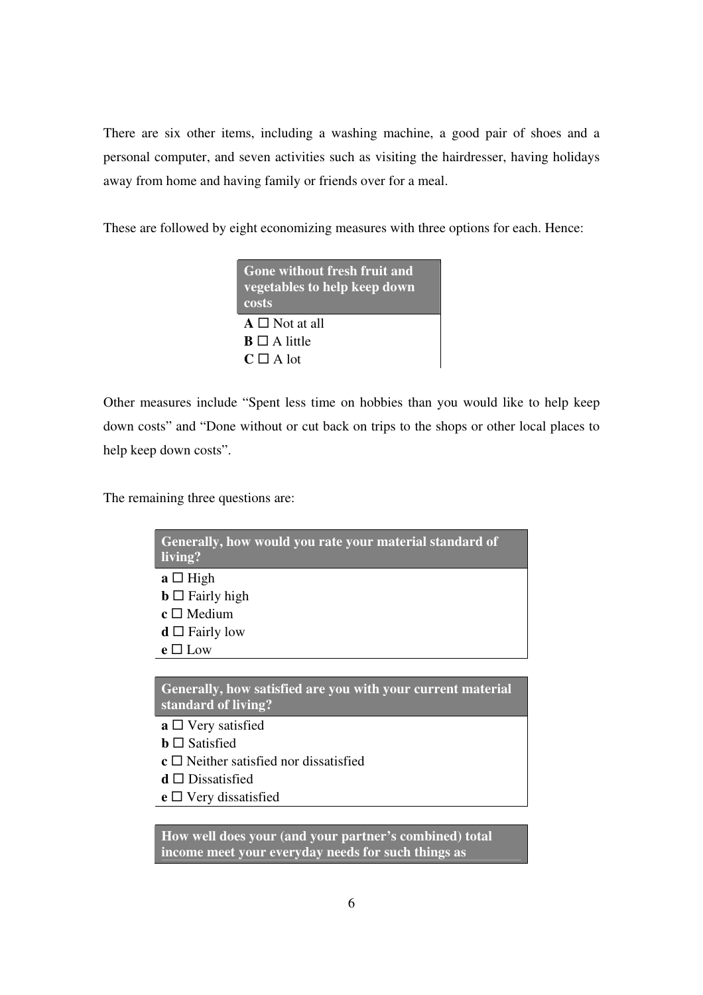There are six other items, including a washing machine, a good pair of shoes and a personal computer, and seven activities such as visiting the hairdresser, having holidays away from home and having family or friends over for a meal.

These are followed by eight economizing measures with three options for each. Hence:

| <b>Gone without fresh fruit and</b><br>vegetables to help keep down<br>costs |
|------------------------------------------------------------------------------|
| $A \square$ Not at all                                                       |
| $B \square A$ little                                                         |
| $C \square A$ lot                                                            |

Other measures include "Spent less time on hobbies than you would like to help keep down costs" and "Done without or cut back on trips to the shops or other local places to help keep down costs".

The remaining three questions are:

| Generally, how would you rate your material standard of<br>living? <sup>1</sup> |
|---------------------------------------------------------------------------------|
| $a \Box$ High                                                                   |
| $\mathbf{b} \Box$ Fairly high                                                   |
| $\mathbf{c} \square$ Medium                                                     |
| $d \square$ Fairly low                                                          |
| $e \Box$ Low                                                                    |
|                                                                                 |

**Generally, how satisfied are you with your current material standard of living?** 

- **a** □ Very satisfied
- **b** □ Satisfied
- **c** □ Neither satisfied nor dissatisfied
- **d** Dissatisfied
- **e** □ Very dissatisfied

**How well does your (and your partner's combined) total income meet your everyday needs for such things as**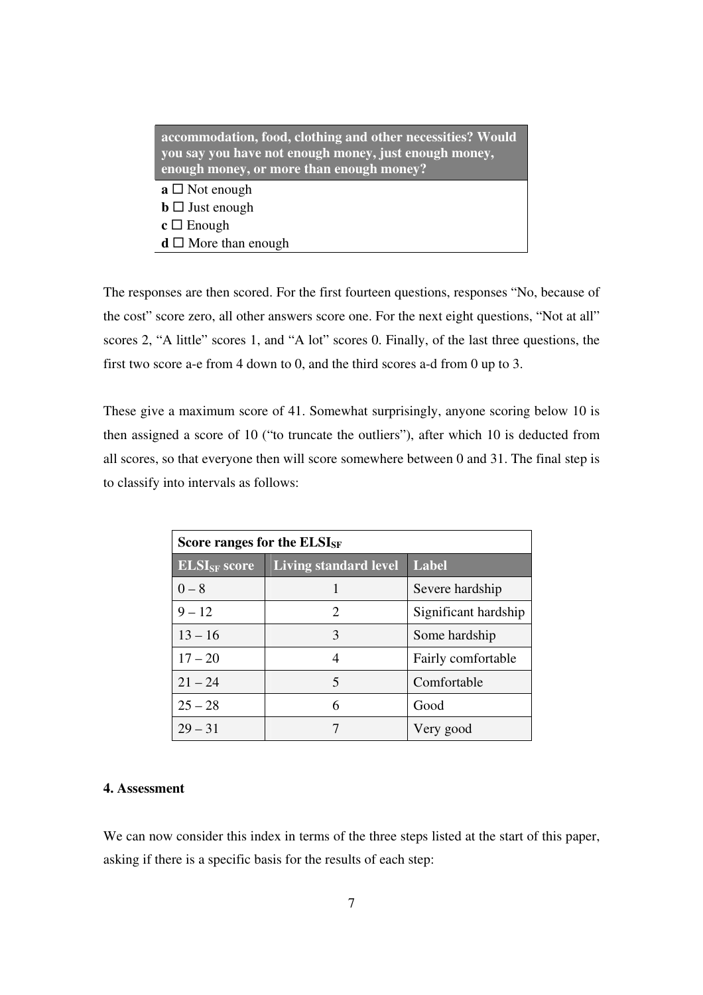| accommodation, food, clothing and other necessities? Would<br>you say you have not enough money, just enough money,<br>enough money, or more than enough money? |
|-----------------------------------------------------------------------------------------------------------------------------------------------------------------|
| $a \square$ Not enough                                                                                                                                          |
| $\mathbf{b} \Box$ Just enough                                                                                                                                   |
| $c \Box$ Enough                                                                                                                                                 |
| $\mathbf{d} \square$ More than enough                                                                                                                           |

The responses are then scored. For the first fourteen questions, responses "No, because of the cost" score zero, all other answers score one. For the next eight questions, "Not at all" scores 2, "A little" scores 1, and "A lot" scores 0. Finally, of the last three questions, the first two score a-e from 4 down to 0, and the third scores a-d from 0 up to 3.

These give a maximum score of 41. Somewhat surprisingly, anyone scoring below 10 is then assigned a score of 10 ("to truncate the outliers"), after which 10 is deducted from all scores, so that everyone then will score somewhere between 0 and 31. The final step is to classify into intervals as follows:

| Score ranges for the ELSI <sub>SF</sub> |                       |                      |  |  |  |
|-----------------------------------------|-----------------------|----------------------|--|--|--|
| <b>ELSI<sub>SF</sub></b> score          | Living standard level | Label                |  |  |  |
| $0 - 8$                                 |                       | Severe hardship      |  |  |  |
| $9 - 12$                                | 2                     | Significant hardship |  |  |  |
| $13 - 16$                               | 3                     | Some hardship        |  |  |  |
| $17 - 20$                               | 4                     | Fairly comfortable   |  |  |  |
| $21 - 24$                               | 5                     | Comfortable          |  |  |  |
| $25 - 28$                               | 6                     | Good                 |  |  |  |
| $29 - 31$                               |                       | Very good            |  |  |  |

# **4. Assessment**

We can now consider this index in terms of the three steps listed at the start of this paper, asking if there is a specific basis for the results of each step: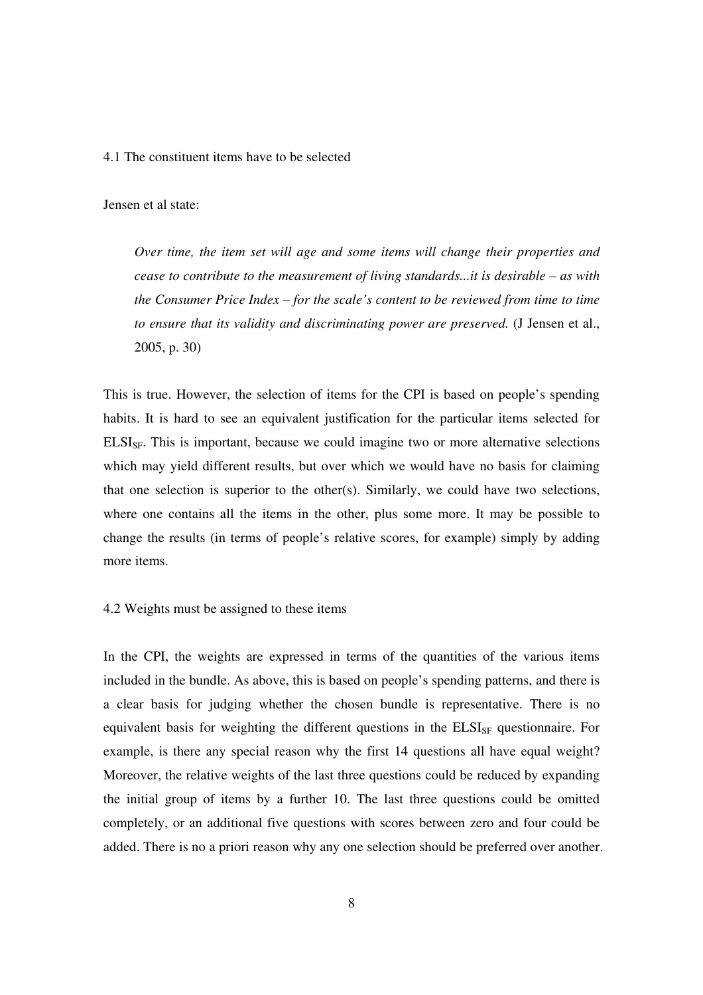#### 4.1 The constituent items have to be selected

Jensen et al state:

*Over time, the item set will age and some items will change their properties and cease to contribute to the measurement of living standards...it is desirable – as with the Consumer Price Index – for the scale's content to be reviewed from time to time to ensure that its validity and discriminating power are preserved.* (J Jensen et al., 2005, p. 30)

This is true. However, the selection of items for the CPI is based on people's spending habits. It is hard to see an equivalent justification for the particular items selected for ELSI<sub>SF</sub>. This is important, because we could imagine two or more alternative selections which may yield different results, but over which we would have no basis for claiming that one selection is superior to the other(s). Similarly, we could have two selections, where one contains all the items in the other, plus some more. It may be possible to change the results (in terms of people's relative scores, for example) simply by adding more items.

### 4.2 Weights must be assigned to these items

In the CPI, the weights are expressed in terms of the quantities of the various items included in the bundle. As above, this is based on people's spending patterns, and there is a clear basis for judging whether the chosen bundle is representative. There is no equivalent basis for weighting the different questions in the  $ELSI<sub>SF</sub>$  questionnaire. For example, is there any special reason why the first 14 questions all have equal weight? Moreover, the relative weights of the last three questions could be reduced by expanding the initial group of items by a further 10. The last three questions could be omitted completely, or an additional five questions with scores between zero and four could be added. There is no a priori reason why any one selection should be preferred over another.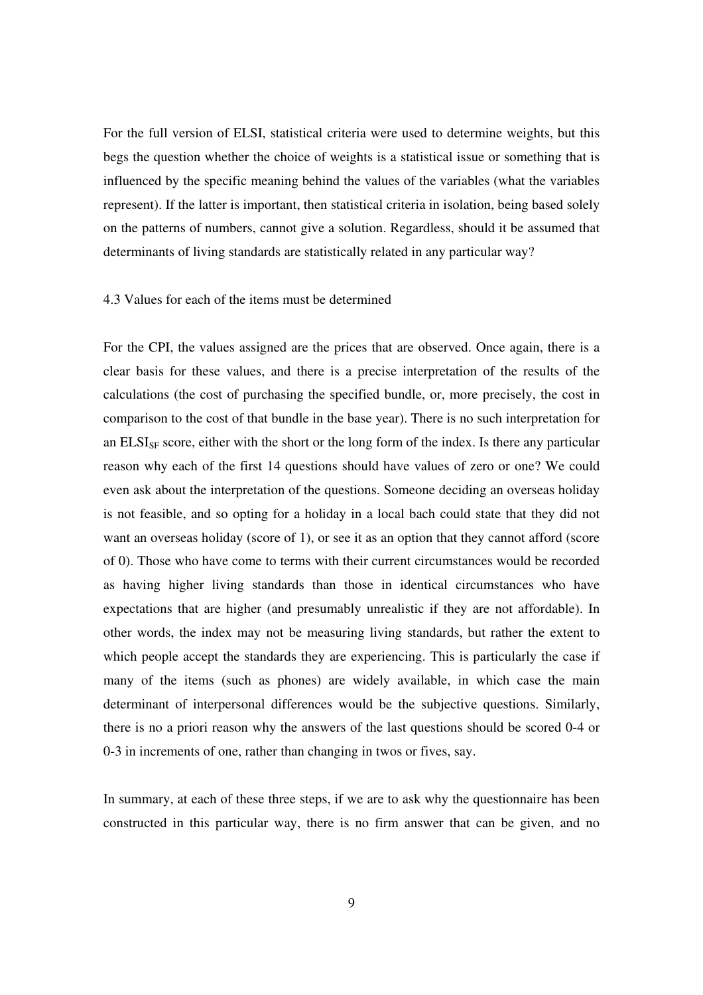For the full version of ELSI, statistical criteria were used to determine weights, but this begs the question whether the choice of weights is a statistical issue or something that is influenced by the specific meaning behind the values of the variables (what the variables represent). If the latter is important, then statistical criteria in isolation, being based solely on the patterns of numbers, cannot give a solution. Regardless, should it be assumed that determinants of living standards are statistically related in any particular way?

### 4.3 Values for each of the items must be determined

For the CPI, the values assigned are the prices that are observed. Once again, there is a clear basis for these values, and there is a precise interpretation of the results of the calculations (the cost of purchasing the specified bundle, or, more precisely, the cost in comparison to the cost of that bundle in the base year). There is no such interpretation for an  $\mathrm{ELSI}_{\mathrm{SF}}$  score, either with the short or the long form of the index. Is there any particular reason why each of the first 14 questions should have values of zero or one? We could even ask about the interpretation of the questions. Someone deciding an overseas holiday is not feasible, and so opting for a holiday in a local bach could state that they did not want an overseas holiday (score of 1), or see it as an option that they cannot afford (score of 0). Those who have come to terms with their current circumstances would be recorded as having higher living standards than those in identical circumstances who have expectations that are higher (and presumably unrealistic if they are not affordable). In other words, the index may not be measuring living standards, but rather the extent to which people accept the standards they are experiencing. This is particularly the case if many of the items (such as phones) are widely available, in which case the main determinant of interpersonal differences would be the subjective questions. Similarly, there is no a priori reason why the answers of the last questions should be scored 0-4 or 0-3 in increments of one, rather than changing in twos or fives, say.

In summary, at each of these three steps, if we are to ask why the questionnaire has been constructed in this particular way, there is no firm answer that can be given, and no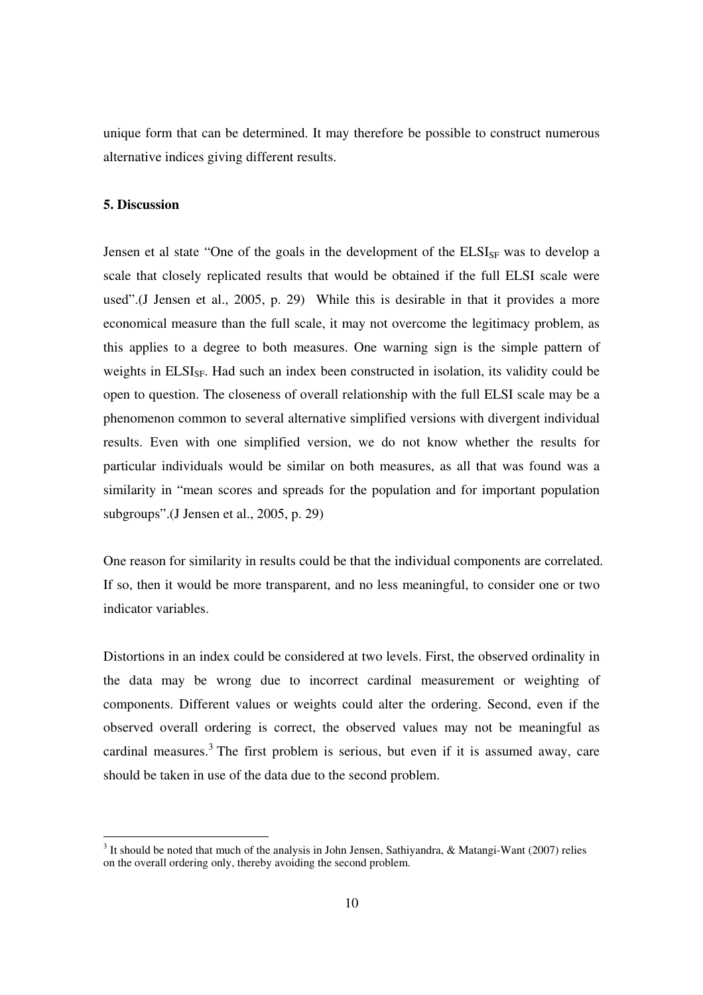unique form that can be determined. It may therefore be possible to construct numerous alternative indices giving different results.

# **5. Discussion**

 $\overline{a}$ 

Jensen et al state "One of the goals in the development of the  $ELSI_{SF}$  was to develop a scale that closely replicated results that would be obtained if the full ELSI scale were used".(J Jensen et al., 2005, p. 29) While this is desirable in that it provides a more economical measure than the full scale, it may not overcome the legitimacy problem, as this applies to a degree to both measures. One warning sign is the simple pattern of weights in ELSI<sub>SF</sub>. Had such an index been constructed in isolation, its validity could be open to question. The closeness of overall relationship with the full ELSI scale may be a phenomenon common to several alternative simplified versions with divergent individual results. Even with one simplified version, we do not know whether the results for particular individuals would be similar on both measures, as all that was found was a similarity in "mean scores and spreads for the population and for important population subgroups".(J Jensen et al., 2005, p. 29)

One reason for similarity in results could be that the individual components are correlated. If so, then it would be more transparent, and no less meaningful, to consider one or two indicator variables.

Distortions in an index could be considered at two levels. First, the observed ordinality in the data may be wrong due to incorrect cardinal measurement or weighting of components. Different values or weights could alter the ordering. Second, even if the observed overall ordering is correct, the observed values may not be meaningful as cardinal measures.<sup>3</sup> The first problem is serious, but even if it is assumed away, care should be taken in use of the data due to the second problem.

 $3$  It should be noted that much of the analysis in John Jensen, Sathiyandra, & Matangi-Want (2007) relies on the overall ordering only, thereby avoiding the second problem.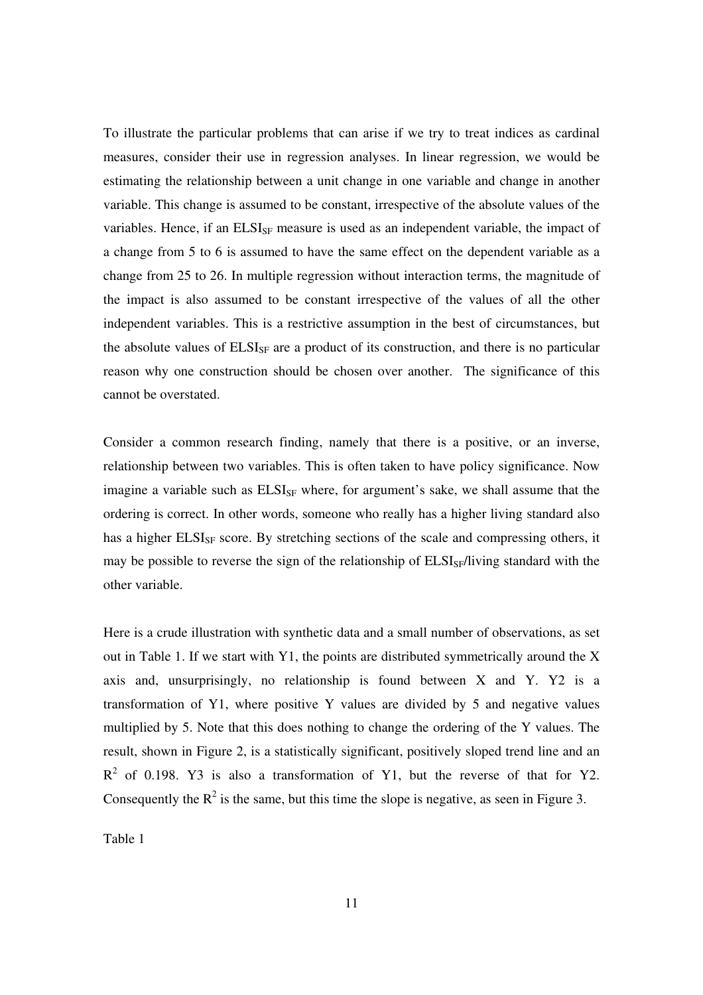To illustrate the particular problems that can arise if we try to treat indices as cardinal measures, consider their use in regression analyses. In linear regression, we would be estimating the relationship between a unit change in one variable and change in another variable. This change is assumed to be constant, irrespective of the absolute values of the variables. Hence, if an  $ELSI_{SF}$  measure is used as an independent variable, the impact of a change from 5 to 6 is assumed to have the same effect on the dependent variable as a change from 25 to 26. In multiple regression without interaction terms, the magnitude of the impact is also assumed to be constant irrespective of the values of all the other independent variables. This is a restrictive assumption in the best of circumstances, but the absolute values of  $ELSI_{SF}$  are a product of its construction, and there is no particular reason why one construction should be chosen over another. The significance of this cannot be overstated.

Consider a common research finding, namely that there is a positive, or an inverse, relationship between two variables. This is often taken to have policy significance. Now imagine a variable such as  $ELSI_{SF}$  where, for argument's sake, we shall assume that the ordering is correct. In other words, someone who really has a higher living standard also has a higher ELSI<sub>SF</sub> score. By stretching sections of the scale and compressing others, it may be possible to reverse the sign of the relationship of  $ELSI_{SF}/\text{Iiving}$  standard with the other variable.

Here is a crude illustration with synthetic data and a small number of observations, as set out in Table 1. If we start with Y1, the points are distributed symmetrically around the X axis and, unsurprisingly, no relationship is found between  $X$  and  $Y$ .  $Y2$  is a transformation of Y1, where positive Y values are divided by 5 and negative values multiplied by 5. Note that this does nothing to change the ordering of the Y values. The result, shown in Figure 2, is a statistically significant, positively sloped trend line and an  $R<sup>2</sup>$  of 0.198. Y3 is also a transformation of Y1, but the reverse of that for Y2. Consequently the  $R^2$  is the same, but this time the slope is negative, as seen in Figure 3.

Table 1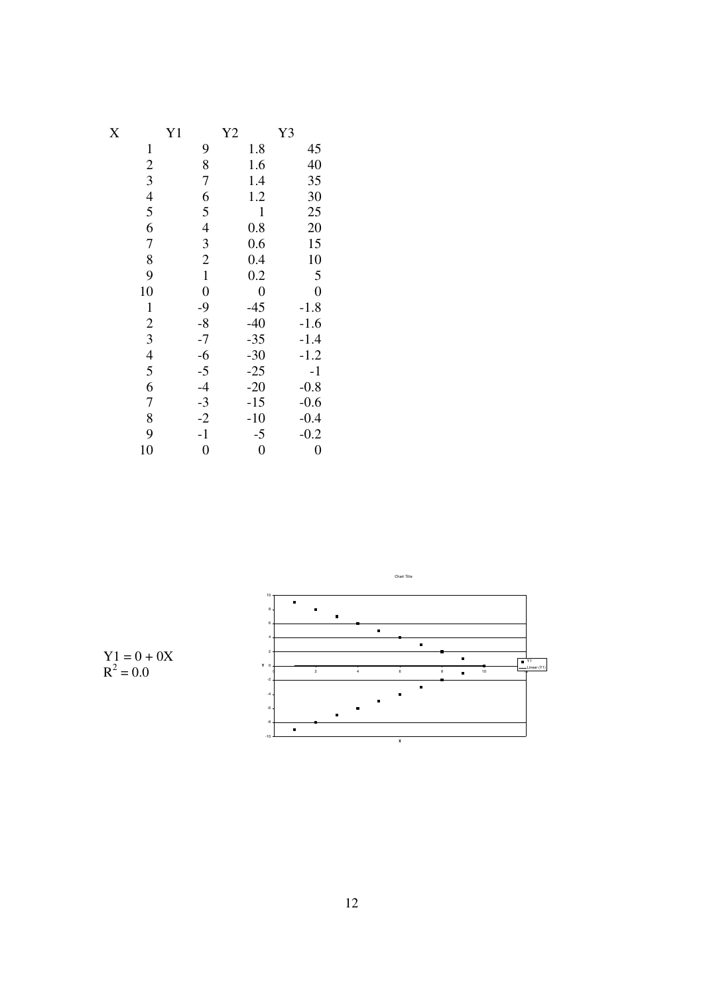| $\rm\overline{X}$ | Y <sub>1</sub>           | Y <sub>2</sub> | Y3             |
|-------------------|--------------------------|----------------|----------------|
| $\mathbf{1}$      | 9                        | 1.8            | 45             |
| $\overline{c}$    | 8                        | 1.6            | 40             |
| 3                 | 7                        | 1.4            | 35             |
| $\overline{4}$    | 6                        | 1.2            | 30             |
| 5                 | 5                        | $\mathbf{1}$   | 25             |
| 6                 | $\overline{\mathcal{L}}$ | 0.8            | 20             |
| $\overline{7}$    | 3                        | 0.6            | 15             |
| 8                 | $\overline{c}$           | 0.4            | 10             |
| 9                 | $\mathbf{1}$             | 0.2            | 5              |
| 10                | $\overline{0}$           | $\overline{0}$ | $\overline{0}$ |
| $\mathbf 1$       | $-9$                     | $-45$          | $-1.8$         |
| $\overline{2}$    | $-8$                     | $-40$          | $-1.6$         |
| 3                 | $-7$                     | $-35$          | $-1.4$         |
| $\overline{4}$    | $-6$                     | $-30$          | $-1.2$         |
| 5                 | $-5$                     | $-25$          | $-1$           |
| 6                 | $-4$                     | $-20$          | $-0.8$         |
| 7                 | $-3$                     | $-15$          | $-0.6$         |
| 8                 | $-2$                     | $-10$          | $-0.4$         |
| 9                 | $-1$                     | $-5$           | $-0.2$         |
| 10                | $\overline{0}$           | $\overline{0}$ | $\overline{0}$ |



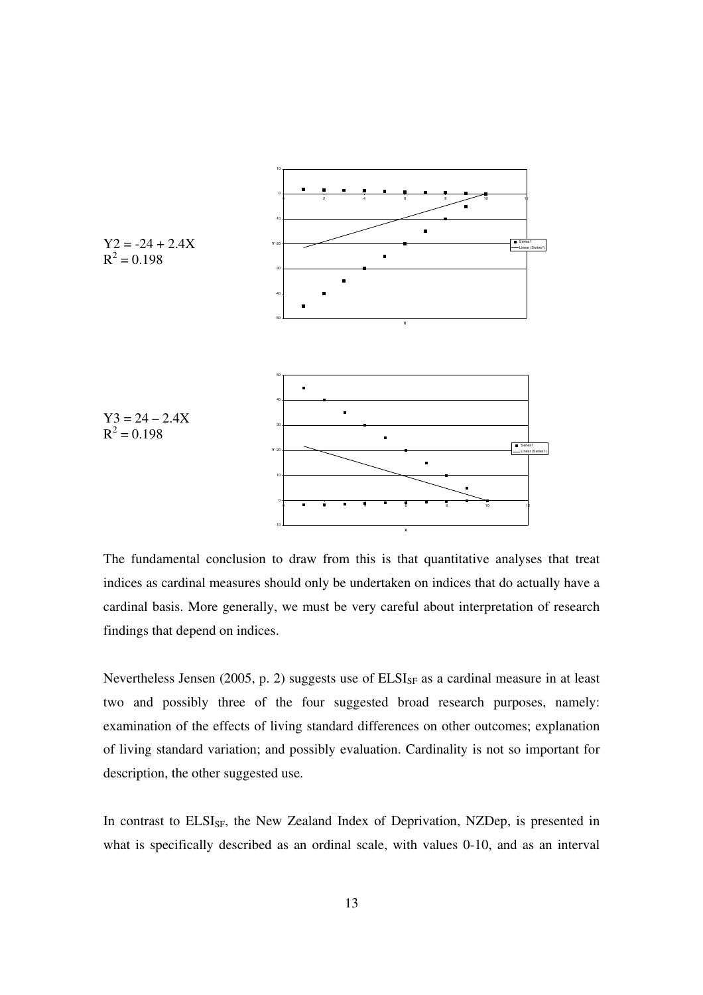

The fundamental conclusion to draw from this is that quantitative analyses that treat indices as cardinal measures should only be undertaken on indices that do actually have a cardinal basis. More generally, we must be very careful about interpretation of research findings that depend on indices.

Nevertheless Jensen (2005, p. 2) suggests use of  $ELSI_{SF}$  as a cardinal measure in at least two and possibly three of the four suggested broad research purposes, namely: examination of the effects of living standard differences on other outcomes; explanation of living standard variation; and possibly evaluation. Cardinality is not so important for description, the other suggested use.

In contrast to ELSI<sub>SF</sub>, the New Zealand Index of Deprivation, NZDep, is presented in what is specifically described as an ordinal scale, with values 0-10, and as an interval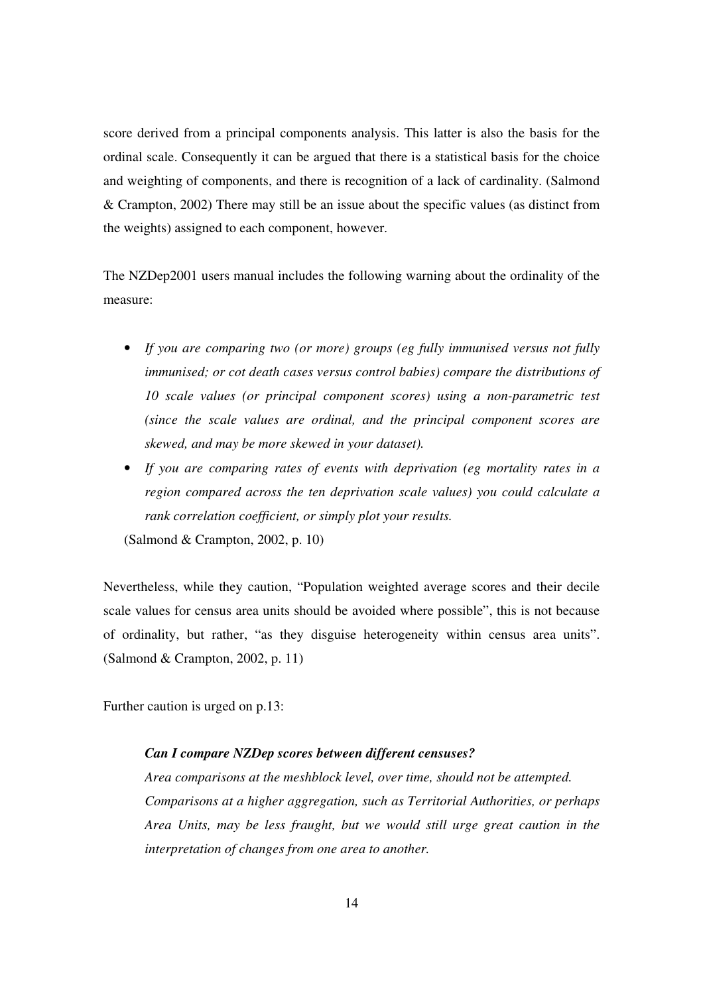score derived from a principal components analysis. This latter is also the basis for the ordinal scale. Consequently it can be argued that there is a statistical basis for the choice and weighting of components, and there is recognition of a lack of cardinality. (Salmond & Crampton, 2002) There may still be an issue about the specific values (as distinct from the weights) assigned to each component, however.

The NZDep2001 users manual includes the following warning about the ordinality of the measure:

- *If you are comparing two (or more) groups (eg fully immunised versus not fully immunised; or cot death cases versus control babies) compare the distributions of 10 scale values (or principal component scores) using a non-parametric test (since the scale values are ordinal, and the principal component scores are skewed, and may be more skewed in your dataset).*
- *If you are comparing rates of events with deprivation (eg mortality rates in a region compared across the ten deprivation scale values) you could calculate a rank correlation coefficient, or simply plot your results.* (Salmond & Crampton, 2002, p. 10)

Nevertheless, while they caution, "Population weighted average scores and their decile scale values for census area units should be avoided where possible", this is not because of ordinality, but rather, "as they disguise heterogeneity within census area units". (Salmond & Crampton, 2002, p. 11)

Further caution is urged on p.13:

### *Can I compare NZDep scores between different censuses?*

*Area comparisons at the meshblock level, over time, should not be attempted. Comparisons at a higher aggregation, such as Territorial Authorities, or perhaps Area Units, may be less fraught, but we would still urge great caution in the interpretation of changes from one area to another.*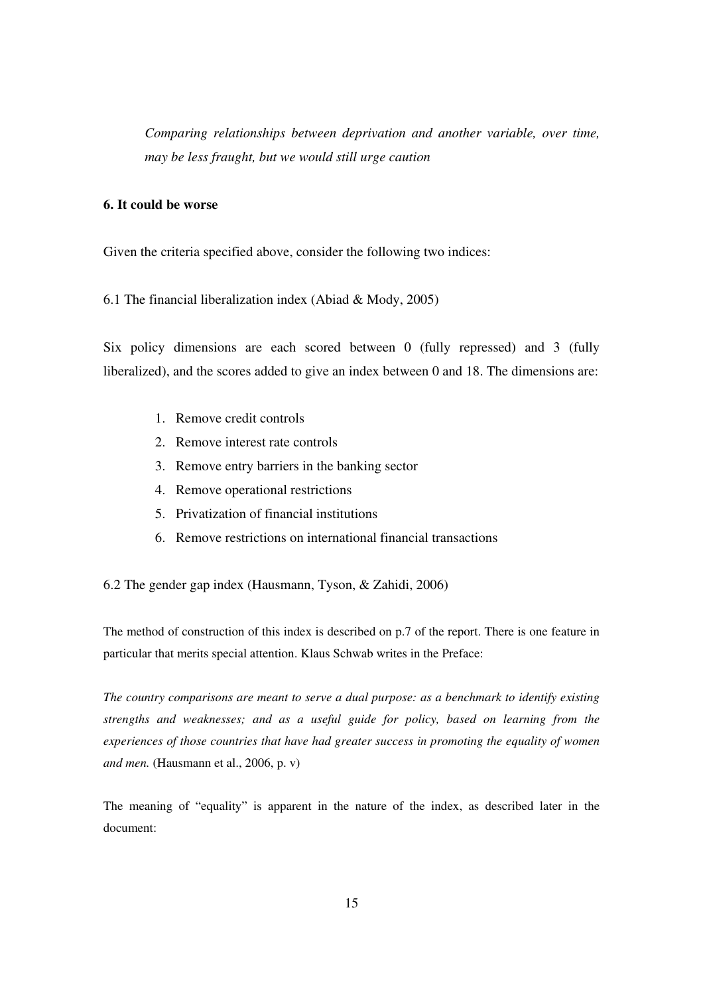*Comparing relationships between deprivation and another variable, over time, may be less fraught, but we would still urge caution* 

# **6. It could be worse**

Given the criteria specified above, consider the following two indices:

6.1 The financial liberalization index (Abiad & Mody, 2005)

Six policy dimensions are each scored between 0 (fully repressed) and 3 (fully liberalized), and the scores added to give an index between 0 and 18. The dimensions are:

- 1. Remove credit controls
- 2. Remove interest rate controls
- 3. Remove entry barriers in the banking sector
- 4. Remove operational restrictions
- 5. Privatization of financial institutions
- 6. Remove restrictions on international financial transactions

6.2 The gender gap index (Hausmann, Tyson, & Zahidi, 2006)

The method of construction of this index is described on p.7 of the report. There is one feature in particular that merits special attention. Klaus Schwab writes in the Preface:

*The country comparisons are meant to serve a dual purpose: as a benchmark to identify existing strengths and weaknesses; and as a useful guide for policy, based on learning from the experiences of those countries that have had greater success in promoting the equality of women and men.* (Hausmann et al., 2006, p. v)

The meaning of "equality" is apparent in the nature of the index, as described later in the document: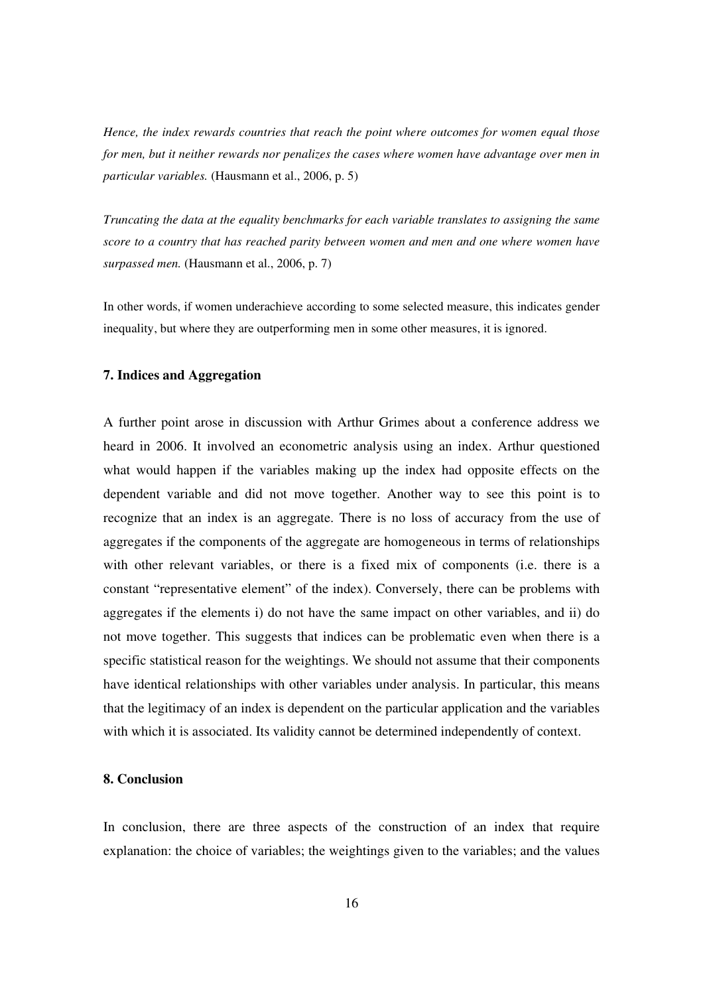*Hence, the index rewards countries that reach the point where outcomes for women equal those for men, but it neither rewards nor penalizes the cases where women have advantage over men in particular variables.* (Hausmann et al., 2006, p. 5)

*Truncating the data at the equality benchmarks for each variable translates to assigning the same score to a country that has reached parity between women and men and one where women have surpassed men.* (Hausmann et al., 2006, p. 7)

In other words, if women underachieve according to some selected measure, this indicates gender inequality, but where they are outperforming men in some other measures, it is ignored.

### **7. Indices and Aggregation**

A further point arose in discussion with Arthur Grimes about a conference address we heard in 2006. It involved an econometric analysis using an index. Arthur questioned what would happen if the variables making up the index had opposite effects on the dependent variable and did not move together. Another way to see this point is to recognize that an index is an aggregate. There is no loss of accuracy from the use of aggregates if the components of the aggregate are homogeneous in terms of relationships with other relevant variables, or there is a fixed mix of components (i.e. there is a constant "representative element" of the index). Conversely, there can be problems with aggregates if the elements i) do not have the same impact on other variables, and ii) do not move together. This suggests that indices can be problematic even when there is a specific statistical reason for the weightings. We should not assume that their components have identical relationships with other variables under analysis. In particular, this means that the legitimacy of an index is dependent on the particular application and the variables with which it is associated. Its validity cannot be determined independently of context.

#### **8. Conclusion**

In conclusion, there are three aspects of the construction of an index that require explanation: the choice of variables; the weightings given to the variables; and the values